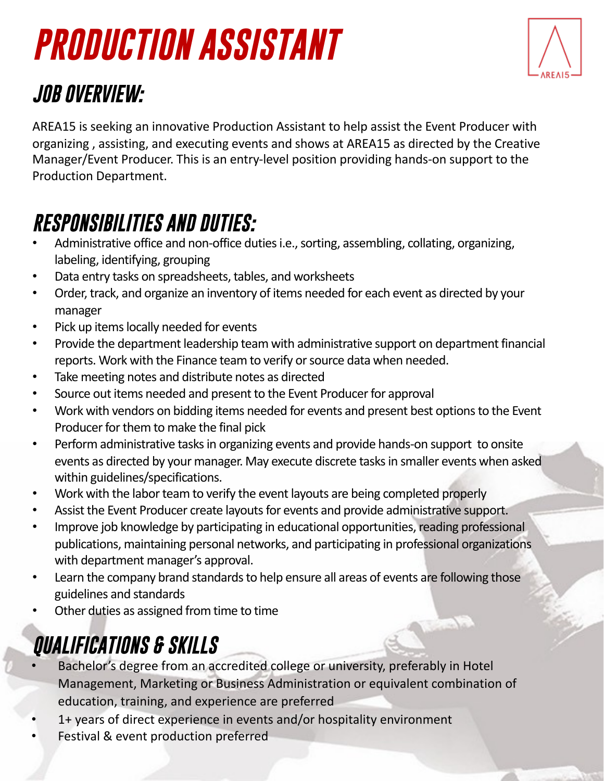# *PRODUCTION ASSISTANT*



## *JOB OVERVIEW:*

AREA15 is seeking an innovative Production Assistant to help assist the Event Producer with organizing , assisting, and executing events and shows at AREA15 as directed by the Creative Manager/Event Producer. This is an entry-level position providing hands-on support to the Production Department.

### *RESPONSIBILITIES AND DUTIES:*

- Administrative office and non-office duties i.e., sorting, assembling, collating, organizing, labeling, identifying, grouping
- Data entry tasks on spreadsheets, tables, and worksheets
- Order, track, and organize an inventory of items needed for each event as directed by your manager
- Pick up items locally needed for events
- Provide the department leadership team with administrative support on department financial reports. Work with the Finance team to verify or source data when needed.
- Take meeting notes and distribute notes as directed
- Source out items needed and present to the Event Producer for approval
- Work with vendors on bidding items needed for events and present best options to the Event Producer for them to make the final pick
- Perform administrative tasks in organizing events and provide hands-on support to onsite events as directed by your manager. May execute discrete tasks in smaller events when asked within guidelines/specifications.
- Work with the labor team to verify the event layouts are being completed properly
- Assist the Event Producer create layouts for events and provide administrative support.
- Improve job knowledge by participating in educational opportunities, reading professional publications, maintaining personal networks, and participating in professional organizations with department manager's approval.
- Learn the company brand standards to help ensure all areas of events are following those guidelines and standards
- Other duties as assigned from time to time

# *QUALIFICATIONS & SKILLS*

- Bachelor's degree from an accredited college or university, preferably in Hotel Management, Marketing or Business Administration or equivalent combination of education, training, and experience are preferred
- 1+ years of direct experience in events and/or hospitality environment
- Festival & event production preferred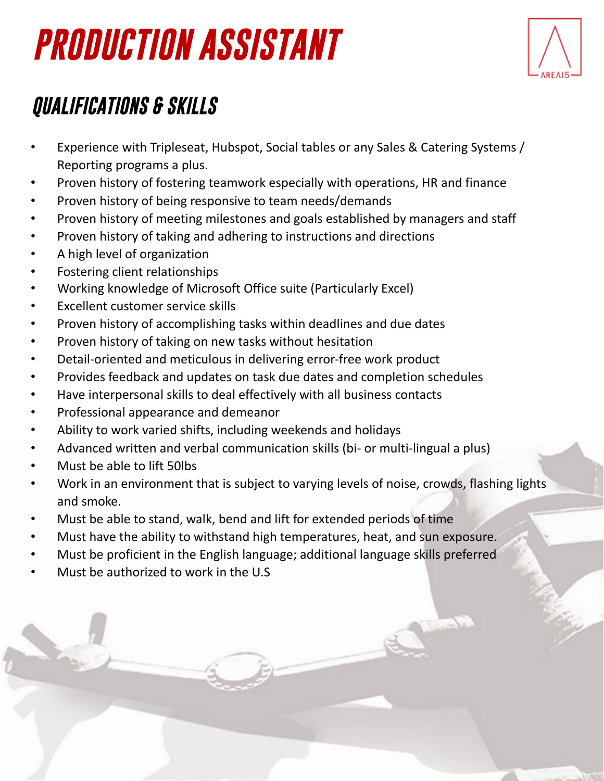# *PRODUCTION ASSISTANT*



### *QUALIFICATIONS & SKILLS*

- Experience with Tripleseat, Hubspot, Social tables or any Sales & Catering Systems / Reporting programs a plus.
- Proven history of fostering teamwork especially with operations, HR and finance
- Proven history of being responsive to team needs/demands
- Proven history of meeting milestones and goals established by managers and staff
- Proven history of taking and adhering to instructions and directions
- A high level of organization
- Fostering client relationships
- Working knowledge of Microsoft Office suite (Particularly Excel)
- Excellent customer service skills
- Proven history of accomplishing tasks within deadlines and due dates
- Proven history of taking on new tasks without hesitation
- Detail-oriented and meticulous in delivering error-free work product
- Provides feedback and updates on task due dates and completion schedules
- Have interpersonal skills to deal effectively with all business contacts
- Professional appearance and demeanor
- Ability to work varied shifts, including weekends and holidays
- Advanced written and verbal communication skills (bi- or multi-lingual a plus)
- Must be able to lift 50lbs
- Work in an environment that is subject to varying levels of noise, crowds, flashing lights and smoke.
- Must be able to stand, walk, bend and lift for extended periods of time
- Must have the ability to withstand high temperatures, heat, and sun exposure.
- Must be proficient in the English language; additional language skills preferred
- Must be authorized to work in the U.S